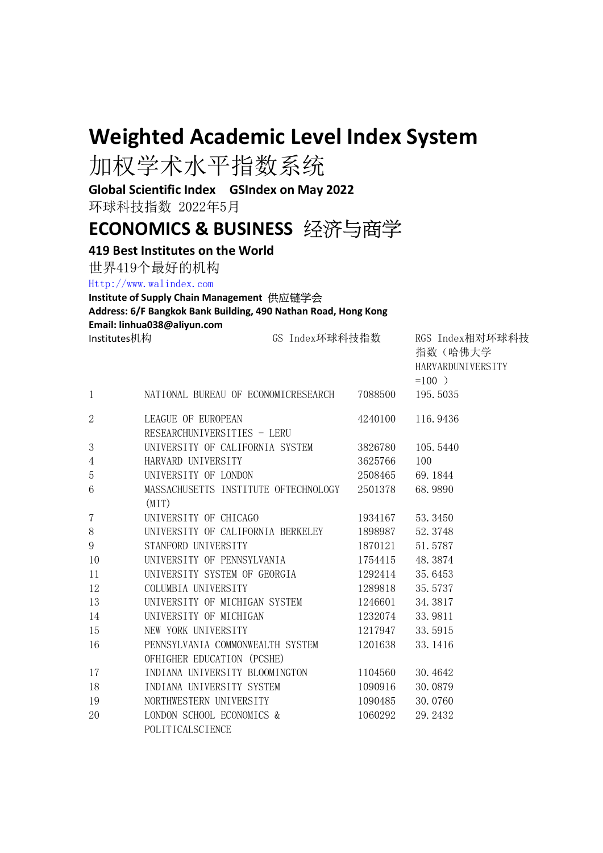## Weighted Academic Level Index System

加权学术水平指数系统

Global Scientific Index GSIndex on May 2022

环球科技指数 2022年5月

## ECONOMICS & BUSINESS 经济与商学

## 419 Best Institutes on the World

世界419个最好的机构

Http://www.walindex.com

## Institute of Supply Chain Management 供应链学会

Address: 6/F Bangkok Bank Building, 490 Nathan Road, Hong Kong Email: linhua038@aliyun.com

Institutes机构 The CS Index环球科技指数 RGS Index相对环球科技

指数(哈佛大学

|                          |                                              |         | HARVARDUNIVERSITY<br>$=100$ ) |
|--------------------------|----------------------------------------------|---------|-------------------------------|
| $\mathbf{1}$             | NATIONAL BUREAU OF ECONOMICRESEARCH 7088500  |         | 195.5035                      |
| $\overline{2}$           | LEAGUE OF EUROPEAN                           | 4240100 | 116.9436                      |
|                          | RESEARCHUNIVERSITIES - LERU                  |         |                               |
| 3                        | UNIVERSITY OF CALIFORNIA SYSTEM              | 3826780 | 105.5440                      |
| 4                        | HARVARD UNIVERSITY                           | 3625766 | 100                           |
| 5                        | UNIVERSITY OF LONDON                         | 2508465 | 69.1844                       |
| 6                        | MASSACHUSETTS INSTITUTE OFTECHNOLOGY 2501378 |         | 68.9890                       |
|                          | (MIT)                                        |         |                               |
| $\overline{\mathcal{U}}$ | UNIVERSITY OF CHICAGO                        | 1934167 | 53.3450                       |
| $8\,$                    | UNIVERSITY OF CALIFORNIA BERKELEY            | 1898987 | 52.3748                       |
| 9                        | STANFORD UNIVERSITY                          | 1870121 | 51.5787                       |
| 10                       | UNIVERSITY OF PENNSYLVANIA                   | 1754415 | 48.3874                       |
| 11                       | UNIVERSITY SYSTEM OF GEORGIA                 | 1292414 | 35.6453                       |
| 12                       | COLUMBIA UNIVERSITY                          | 1289818 | 35.5737                       |
| 13                       | UNIVERSITY OF MICHIGAN SYSTEM                | 1246601 | 34.3817                       |
| 14                       | UNIVERSITY OF MICHIGAN                       | 1232074 | 33.9811                       |
| 15                       | NEW YORK UNIVERSITY                          | 1217947 | 33.5915                       |
| 16                       | PENNSYLVANIA COMMONWEALTH SYSTEM             | 1201638 | 33.1416                       |
|                          | OFHIGHER EDUCATION (PCSHE)                   |         |                               |
| 17                       | INDIANA UNIVERSITY BLOOMINGTON               | 1104560 | 30.4642                       |
| 18                       | INDIANA UNIVERSITY SYSTEM                    | 1090916 | 30.0879                       |
| 19                       | NORTHWESTERN UNIVERSITY                      | 1090485 | 30.0760                       |
| 20                       | LONDON SCHOOL ECONOMICS &                    | 1060292 | 29.2432                       |
|                          | POLITICALSCIENCE                             |         |                               |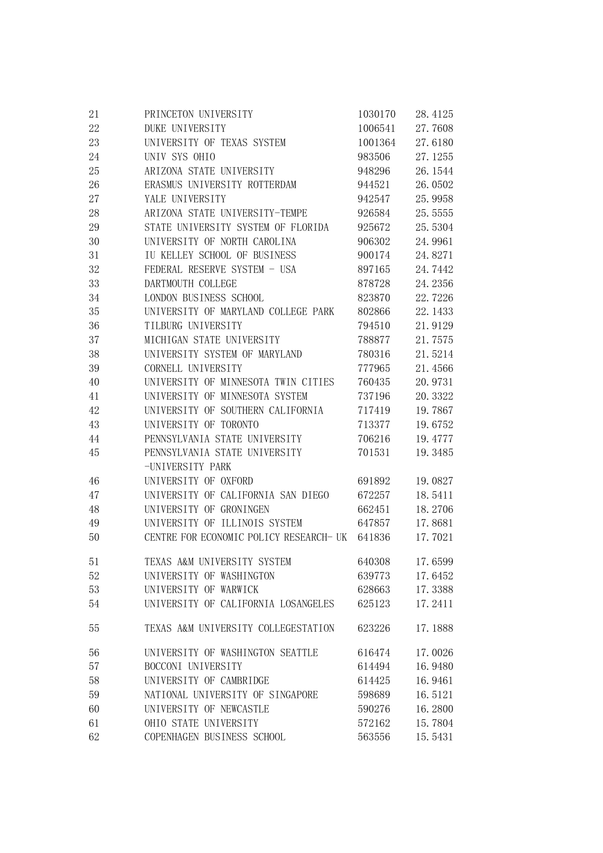| 21 | PRINCETON UNIVERSITY                    | 1030170        | 28.4125 |
|----|-----------------------------------------|----------------|---------|
| 22 | DUKE UNIVERSITY                         | 1006541        | 27.7608 |
| 23 | UNIVERSITY OF TEXAS SYSTEM              | 1001364        | 27.6180 |
| 24 | UNIV SYS OHIO                           | 983506         | 27.1255 |
| 25 | ARIZONA STATE UNIVERSITY                | 948296         | 26.1544 |
| 26 | ERASMUS UNIVERSITY ROTTERDAM            | 944521         | 26.0502 |
| 27 | YALE UNIVERSITY                         | 942547         | 25.9958 |
| 28 | ARIZONA STATE UNIVERSITY-TEMPE          | 926584         | 25.5555 |
| 29 | STATE UNIVERSITY SYSTEM OF FLORIDA      | 925672         | 25.5304 |
| 30 | UNIVERSITY OF NORTH CAROLINA            | 906302         | 24.9961 |
| 31 | IU KELLEY SCHOOL OF BUSINESS            | 900174         | 24.8271 |
| 32 | FEDERAL RESERVE SYSTEM - USA            | 897165         | 24.7442 |
| 33 | DARTMOUTH COLLEGE                       | 878728         | 24.2356 |
| 34 | LONDON BUSINESS SCHOOL                  | 823870         | 22.7226 |
| 35 | UNIVERSITY OF MARYLAND COLLEGE PARK     | 802866         | 22.1433 |
| 36 | TILBURG UNIVERSITY                      | 794510         | 21.9129 |
| 37 | MICHIGAN STATE UNIVERSITY               | 788877         | 21.7575 |
| 38 | UNIVERSITY SYSTEM OF MARYLAND           | 780316         | 21.5214 |
| 39 | CORNELL UNIVERSITY                      | 777965         | 21.4566 |
| 40 | UNIVERSITY OF MINNESOTA TWIN CITIES     | 760435         | 20.9731 |
| 41 | UNIVERSITY OF MINNESOTA SYSTEM          | 737196         | 20.3322 |
| 42 | UNIVERSITY OF SOUTHERN CALIFORNIA       | 717419         | 19.7867 |
| 43 | UNIVERSITY OF TORONTO                   | 713377         | 19.6752 |
| 44 | PENNSYLVANIA STATE UNIVERSITY           | 706216         | 19.4777 |
| 45 | PENNSYLVANIA STATE UNIVERSITY           | 701531         | 19.3485 |
|    | -UNIVERSITY PARK                        |                |         |
| 46 | UNIVERSITY OF OXFORD                    | 691892         | 19.0827 |
| 47 | UNIVERSITY OF CALIFORNIA SAN DIEGO      | 672257         | 18.5411 |
| 48 | UNIVERSITY OF GRONINGEN                 | 662451         | 18.2706 |
| 49 | UNIVERSITY OF ILLINOIS SYSTEM           | 647857         | 17.8681 |
| 50 | CENTRE FOR ECONOMIC POLICY RESEARCH- UK | 641836         | 17.7021 |
| 51 | TEXAS A&M UNIVERSITY SYSTEM             | 640308 17.6599 |         |
| 52 | UNIVERSITY OF WASHINGTON                | 639773         | 17.6452 |
| 53 | UNIVERSITY OF WARWICK                   | 628663         | 17.3388 |
| 54 | UNIVERSITY OF CALIFORNIA LOSANGELES     | 625123         | 17.2411 |
| 55 | TEXAS A&M UNIVERSITY COLLEGESTATION     | 623226         | 17.1888 |
| 56 | UNIVERSITY OF WASHINGTON SEATTLE        | 616474         | 17.0026 |
| 57 | BOCCONI UNIVERSITY                      | 614494         | 16.9480 |
| 58 | UNIVERSITY OF CAMBRIDGE                 | 614425         | 16.9461 |
| 59 | NATIONAL UNIVERSITY OF SINGAPORE        | 598689         | 16.5121 |
| 60 | UNIVERSITY OF NEWCASTLE                 | 590276         | 16.2800 |
| 61 | OHIO STATE UNIVERSITY                   | 572162         | 15.7804 |
| 62 | COPENHAGEN BUSINESS SCHOOL              | 563556         | 15.5431 |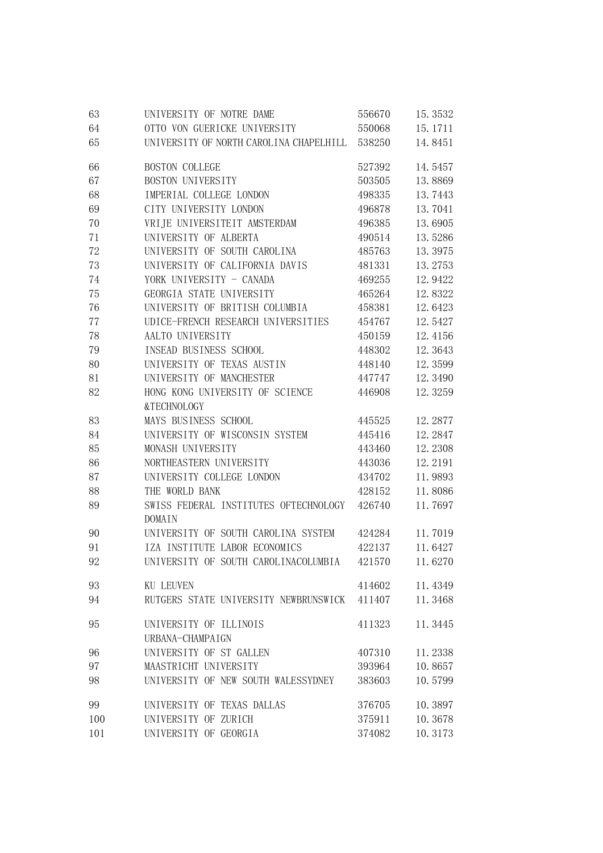| 63     | UNIVERSITY OF NOTRE DAME                        | 556670 | 15.3532 |
|--------|-------------------------------------------------|--------|---------|
| 64     | OTTO VON GUERICKE UNIVERSITY                    | 550068 | 15.1711 |
| 65     | UNIVERSITY OF NORTH CAROLINA CHAPELHILL 538250  |        | 14.8451 |
| 66     | <b>BOSTON COLLEGE</b>                           | 527392 | 14.5457 |
| 67     | BOSTON UNIVERSITY                               | 503505 | 13.8869 |
| 68     | IMPERIAL COLLEGE LONDON                         | 498335 | 13.7443 |
| 69     | CITY UNIVERSITY LONDON                          | 496878 | 13.7041 |
| 70     | VRIJE UNIVERSITEIT AMSTERDAM                    | 496385 | 13.6905 |
| 71     | UNIVERSITY OF ALBERTA                           | 490514 | 13.5286 |
| 72     | UNIVERSITY OF SOUTH CAROLINA                    | 485763 | 13.3975 |
| 73     | UNIVERSITY OF CALIFORNIA DAVIS                  | 481331 | 13.2753 |
| 74     | YORK UNIVERSITY - CANADA                        | 469255 | 12.9422 |
| 75     | GEORGIA STATE UNIVERSITY                        | 465264 | 12.8322 |
| 76     | UNIVERSITY OF BRITISH COLUMBIA                  | 458381 | 12.6423 |
| $77\,$ | UDICE-FRENCH RESEARCH UNIVERSITIES              | 454767 | 12.5427 |
| 78     | AALTO UNIVERSITY                                | 450159 | 12.4156 |
| 79     | INSEAD BUSINESS SCHOOL                          | 448302 | 12.3643 |
| 80     | UNIVERSITY OF TEXAS AUSTIN                      | 448140 | 12.3599 |
| 81     | UNIVERSITY OF MANCHESTER                        | 447747 | 12.3490 |
| 82     | HONG KONG UNIVERSITY OF SCIENCE                 | 446908 | 12.3259 |
|        | &TECHNOLOGY                                     |        |         |
| 83     | MAYS BUSINESS SCHOOL                            | 445525 | 12.2877 |
| 84     | UNIVERSITY OF WISCONSIN SYSTEM                  | 445416 | 12.2847 |
| 85     | MONASH UNIVERSITY                               | 443460 | 12.2308 |
| 86     | NORTHEASTERN UNIVERSITY                         | 443036 | 12.2191 |
| 87     | UNIVERSITY COLLEGE LONDON                       | 434702 | 11.9893 |
| 88     | THE WORLD BANK                                  | 428152 | 11.8086 |
| 89     | SWISS FEDERAL INSTITUTES OFTECHNOLOGY<br>DOMAIN | 426740 | 11.7697 |
| 90     | UNIVERSITY OF SOUTH CAROLINA SYSTEM             | 424284 | 11.7019 |
| 91     | IZA INSTITUTE LABOR ECONOMICS                   | 422137 | 11.6427 |
| 92     | UNIVERSITY OF SOUTH CAROLINACOLUMBIA 421570     |        | 11.6270 |
| 93     | KU LEUVEN                                       | 414602 | 11.4349 |
| 94     | RUTGERS STATE UNIVERSITY NEWBRUNSWICK           | 411407 | 11.3468 |
| 95     | UNIVERSITY OF ILLINOIS<br>URBANA-CHAMPAIGN      | 411323 | 11.3445 |
| 96     | UNIVERSITY OF ST GALLEN                         | 407310 | 11.2338 |
| 97     | MAASTRICHT UNIVERSITY                           | 393964 | 10.8657 |
| 98     | UNIVERSITY OF NEW SOUTH WALESSYDNEY             | 383603 | 10.5799 |
| 99     | UNIVERSITY OF TEXAS DALLAS                      | 376705 | 10.3897 |
| 100    | UNIVERSITY OF ZURICH                            | 375911 | 10.3678 |
| 101    | UNIVERSITY OF GEORGIA                           | 374082 | 10.3173 |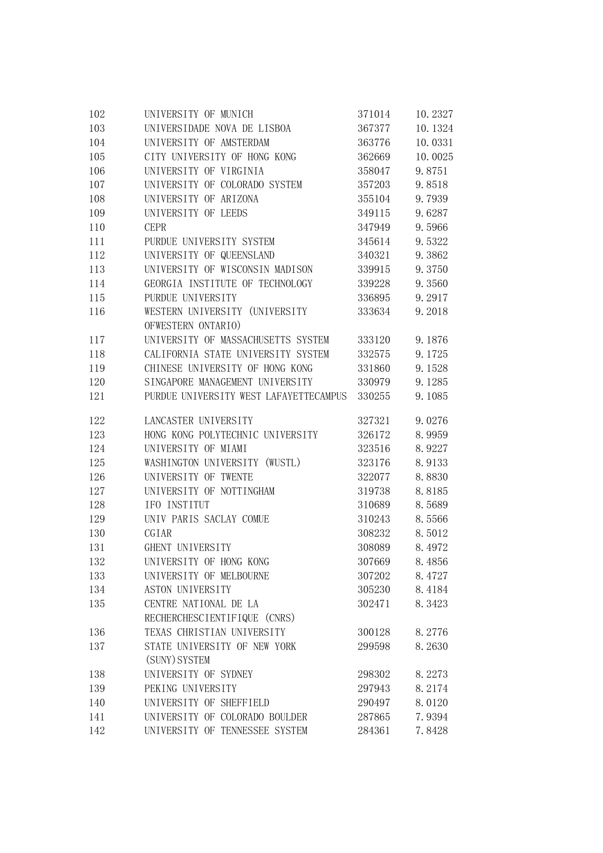| 102 | UNIVERSITY OF MUNICH                   | 371014 | 10.2327 |
|-----|----------------------------------------|--------|---------|
| 103 | UNIVERSIDADE NOVA DE LISBOA            | 367377 | 10.1324 |
| 104 | UNIVERSITY OF AMSTERDAM                | 363776 | 10.0331 |
| 105 | CITY UNIVERSITY OF HONG KONG           | 362669 | 10.0025 |
| 106 | UNIVERSITY OF VIRGINIA                 | 358047 | 9.8751  |
| 107 | UNIVERSITY OF COLORADO SYSTEM          | 357203 | 9.8518  |
| 108 | UNIVERSITY OF ARIZONA                  | 355104 | 9.7939  |
| 109 | UNIVERSITY OF LEEDS                    | 349115 | 9.6287  |
| 110 | <b>CEPR</b>                            | 347949 | 9.5966  |
| 111 | PURDUE UNIVERSITY SYSTEM               | 345614 | 9.5322  |
| 112 | UNIVERSITY OF QUEENSLAND               | 340321 | 9.3862  |
| 113 | UNIVERSITY OF WISCONSIN MADISON        | 339915 | 9.3750  |
| 114 | GEORGIA INSTITUTE OF TECHNOLOGY        | 339228 | 9.3560  |
| 115 | PURDUE UNIVERSITY                      | 336895 | 9.2917  |
| 116 | WESTERN UNIVERSITY (UNIVERSITY         | 333634 | 9.2018  |
|     | OFWESTERN ONTARIO)                     |        |         |
| 117 | UNIVERSITY OF MASSACHUSETTS SYSTEM     | 333120 | 9.1876  |
| 118 | CALIFORNIA STATE UNIVERSITY SYSTEM     | 332575 | 9.1725  |
| 119 | CHINESE UNIVERSITY OF HONG KONG        | 331860 | 9.1528  |
| 120 | SINGAPORE MANAGEMENT UNIVERSITY        | 330979 | 9.1285  |
| 121 | PURDUE UNIVERSITY WEST LAFAYETTECAMPUS | 330255 | 9.1085  |
| 122 | LANCASTER UNIVERSITY                   | 327321 | 9.0276  |
| 123 | HONG KONG POLYTECHNIC UNIVERSITY       | 326172 | 8.9959  |
| 124 | UNIVERSITY OF MIAMI                    | 323516 | 8.9227  |
| 125 | WASHINGTON UNIVERSITY (WUSTL)          | 323176 | 8.9133  |
| 126 | UNIVERSITY OF TWENTE                   | 322077 | 8.8830  |
| 127 | UNIVERSITY OF NOTTINGHAM               | 319738 | 8.8185  |
| 128 | IFO INSTITUT                           | 310689 | 8.5689  |
| 129 | UNIV PARIS SACLAY COMUE                | 310243 | 8.5566  |
| 130 | CGIAR                                  | 308232 | 8.5012  |
| 131 | GHENT UNIVERSITY                       | 308089 | 8.4972  |
| 132 | UNIVERSITY OF HONG KONG                | 307669 | 8.4856  |
| 133 | UNIVERSITY OF MELBOURNE                | 307202 | 8.4727  |
| 134 | <b>ASTON UNIVERSITY</b>                | 305230 | 8.4184  |
| 135 | CENTRE NATIONAL DE LA                  | 302471 | 8.3423  |
|     | RECHERCHESCIENTIFIQUE (CNRS)           |        |         |
| 136 | TEXAS CHRISTIAN UNIVERSITY             | 300128 | 8.2776  |
| 137 | STATE UNIVERSITY OF NEW YORK           | 299598 | 8.2630  |
|     | (SUNY) SYSTEM                          |        |         |
| 138 | UNIVERSITY OF SYDNEY                   | 298302 | 8.2273  |
| 139 | PEKING UNIVERSITY                      | 297943 | 8.2174  |
| 140 | UNIVERSITY OF SHEFFIELD                | 290497 | 8.0120  |
| 141 | UNIVERSITY OF COLORADO BOULDER         | 287865 | 7.9394  |
| 142 | UNIVERSITY OF TENNESSEE SYSTEM         | 284361 | 7.8428  |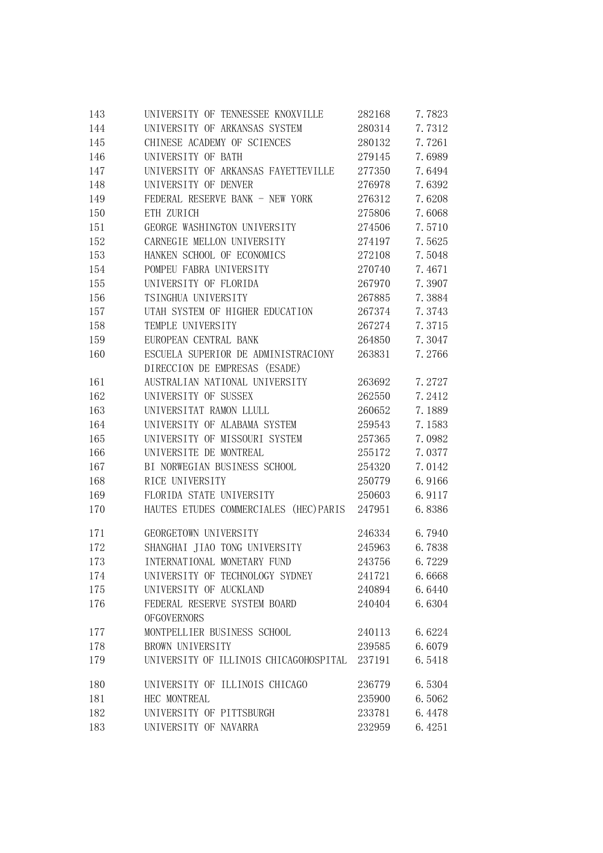| 143 | UNIVERSITY OF TENNESSEE KNOXVILLE      | 282168 | 7.7823 |
|-----|----------------------------------------|--------|--------|
| 144 | UNIVERSITY OF ARKANSAS SYSTEM          | 280314 | 7.7312 |
| 145 | CHINESE ACADEMY OF SCIENCES            | 280132 | 7.7261 |
| 146 | UNIVERSITY OF BATH                     | 279145 | 7.6989 |
| 147 | UNIVERSITY OF ARKANSAS FAYETTEVILLE    | 277350 | 7.6494 |
| 148 | UNIVERSITY OF DENVER                   | 276978 | 7.6392 |
| 149 | FEDERAL RESERVE BANK - NEW YORK        | 276312 | 7.6208 |
| 150 | ETH ZURICH                             | 275806 | 7.6068 |
| 151 | GEORGE WASHINGTON UNIVERSITY           | 274506 | 7.5710 |
| 152 | CARNEGIE MELLON UNIVERSITY             | 274197 | 7.5625 |
| 153 | HANKEN SCHOOL OF ECONOMICS             | 272108 | 7.5048 |
| 154 | POMPEU FABRA UNIVERSITY                | 270740 | 7.4671 |
| 155 | UNIVERSITY OF FLORIDA                  | 267970 | 7.3907 |
| 156 | TSINGHUA UNIVERSITY                    | 267885 | 7.3884 |
| 157 | UTAH SYSTEM OF HIGHER EDUCATION        | 267374 | 7.3743 |
| 158 | TEMPLE UNIVERSITY                      | 267274 | 7.3715 |
| 159 | EUROPEAN CENTRAL BANK                  | 264850 | 7.3047 |
| 160 | ESCUELA SUPERIOR DE ADMINISTRACIONY    | 263831 | 7.2766 |
|     | DIRECCION DE EMPRESAS (ESADE)          |        |        |
| 161 | AUSTRALIAN NATIONAL UNIVERSITY         | 263692 | 7.2727 |
| 162 | UNIVERSITY OF SUSSEX                   | 262550 | 7.2412 |
| 163 | UNIVERSITAT RAMON LLULL                | 260652 | 7.1889 |
| 164 | UNIVERSITY OF ALABAMA SYSTEM           | 259543 | 7.1583 |
| 165 | UNIVERSITY OF MISSOURI SYSTEM          | 257365 | 7.0982 |
| 166 | UNIVERSITE DE MONTREAL                 | 255172 | 7.0377 |
| 167 | BI NORWEGIAN BUSINESS SCHOOL           | 254320 | 7.0142 |
| 168 | RICE UNIVERSITY                        | 250779 | 6.9166 |
| 169 | FLORIDA STATE UNIVERSITY               | 250603 | 6.9117 |
| 170 | HAUTES ETUDES COMMERCIALES (HEC) PARIS | 247951 | 6.8386 |
| 171 | GEORGETOWN UNIVERSITY                  | 246334 | 6.7940 |
| 172 | SHANGHAI JIAO TONG UNIVERSITY          | 245963 | 6.7838 |
| 173 | INTERNATIONAL MONETARY FUND            | 243756 | 6.7229 |
| 174 | UNIVERSITY OF TECHNOLOGY SYDNEY        | 241721 | 6.6668 |
| 175 | UNIVERSITY OF AUCKLAND                 | 240894 | 6.6440 |
| 176 | FEDERAL RESERVE SYSTEM BOARD           | 240404 | 6.6304 |
|     | <b>OFGOVERNORS</b>                     |        |        |
| 177 | MONTPELLIER BUSINESS SCHOOL            | 240113 | 6.6224 |
| 178 | BROWN UNIVERSITY                       | 239585 | 6.6079 |
| 179 | UNIVERSITY OF ILLINOIS CHICAGOHOSPITAL | 237191 | 6.5418 |
| 180 | UNIVERSITY OF ILLINOIS CHICAGO         | 236779 | 6.5304 |
| 181 | HEC MONTREAL                           | 235900 | 6.5062 |
| 182 | UNIVERSITY OF PITTSBURGH               | 233781 | 6.4478 |
| 183 | UNIVERSITY OF NAVARRA                  | 232959 | 6.4251 |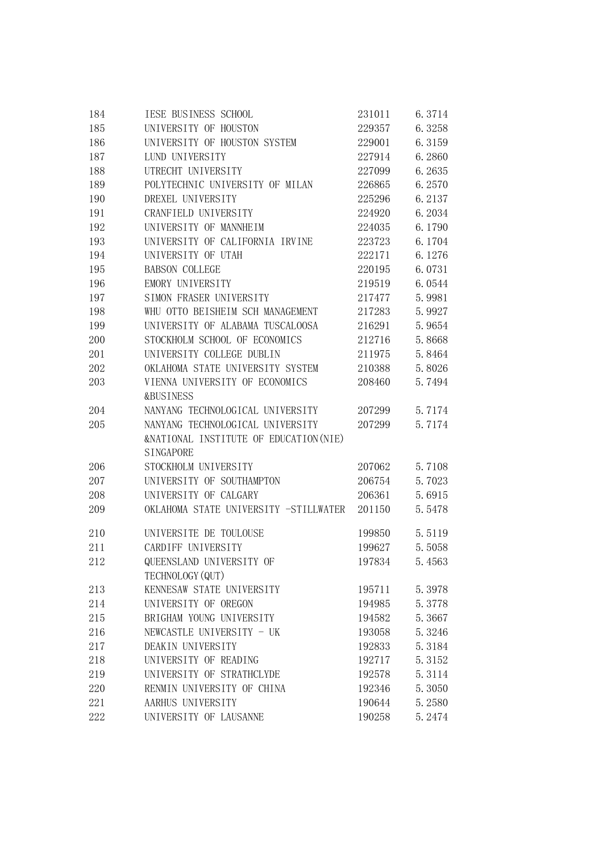| 184 | IESE BUSINESS SCHOOL                              | 231011 | 6.3714 |
|-----|---------------------------------------------------|--------|--------|
| 185 | UNIVERSITY OF HOUSTON                             | 229357 | 6.3258 |
| 186 | UNIVERSITY OF HOUSTON SYSTEM                      | 229001 | 6.3159 |
| 187 | LUND UNIVERSITY                                   | 227914 | 6.2860 |
| 188 | UTRECHT UNIVERSITY                                | 227099 | 6.2635 |
| 189 | POLYTECHNIC UNIVERSITY OF MILAN                   | 226865 | 6.2570 |
| 190 | DREXEL UNIVERSITY                                 | 225296 | 6.2137 |
| 191 | CRANFIELD UNIVERSITY                              | 224920 | 6.2034 |
| 192 | UNIVERSITY OF MANNHEIM                            | 224035 | 6.1790 |
| 193 | UNIVERSITY OF CALIFORNIA IRVINE                   | 223723 | 6.1704 |
| 194 | UNIVERSITY OF UTAH                                | 222171 | 6.1276 |
| 195 | <b>BABSON COLLEGE</b>                             | 220195 | 6.0731 |
| 196 | EMORY UNIVERSITY                                  | 219519 | 6.0544 |
| 197 | SIMON FRASER UNIVERSITY                           | 217477 | 5.9981 |
| 198 | WHU OTTO BEISHEIM SCH MANAGEMENT                  | 217283 | 5.9927 |
| 199 | UNIVERSITY OF ALABAMA TUSCALOOSA                  | 216291 | 5.9654 |
| 200 | STOCKHOLM SCHOOL OF ECONOMICS                     | 212716 | 5.8668 |
| 201 | UNIVERSITY COLLEGE DUBLIN                         | 211975 | 5.8464 |
| 202 | OKLAHOMA STATE UNIVERSITY SYSTEM                  | 210388 | 5.8026 |
| 203 | VIENNA UNIVERSITY OF ECONOMICS                    | 208460 | 5.7494 |
|     | <b>&amp;BUSINESS</b>                              |        |        |
| 204 | NANYANG TECHNOLOGICAL UNIVERSITY                  | 207299 | 5.7174 |
| 205 | NANYANG TECHNOLOGICAL UNIVERSITY                  | 207299 | 5.7174 |
|     | <b>&amp;NATIONAL INSTITUTE OF EDUCATION (NIE)</b> |        |        |
|     | SINGAPORE                                         |        |        |
| 206 | STOCKHOLM UNIVERSITY                              | 207062 | 5.7108 |
| 207 | UNIVERSITY OF SOUTHAMPTON                         | 206754 | 5.7023 |
| 208 | UNIVERSITY OF CALGARY                             | 206361 | 5.6915 |
| 209 | OKLAHOMA STATE UNIVERSITY -STILLWATER             | 201150 | 5.5478 |
|     |                                                   |        |        |
| 210 | UNIVERSITE DE TOULOUSE                            | 199850 | 5.5119 |
| 211 | CARDIFF UNIVERSITY                                | 199627 | 5.5058 |
| 212 | QUEENSLAND UNIVERSITY OF                          | 197834 | 5.4563 |
|     | TECHNOLOGY (QUT)                                  |        |        |
| 213 | KENNESAW STATE UNIVERSITY                         | 195711 | 5.3978 |
| 214 | UNIVERSITY OF OREGON                              | 194985 | 5.3778 |
| 215 | BRIGHAM YOUNG UNIVERSITY                          | 194582 | 5.3667 |
| 216 | NEWCASTLE UNIVERSITY - UK                         | 193058 | 5.3246 |
| 217 | DEAKIN UNIVERSITY                                 | 192833 | 5.3184 |
| 218 | UNIVERSITY OF READING                             | 192717 | 5.3152 |
| 219 | UNIVERSITY OF STRATHCLYDE                         | 192578 | 5.3114 |
| 220 | RENMIN UNIVERSITY OF CHINA                        | 192346 | 5.3050 |
| 221 | AARHUS UNIVERSITY                                 | 190644 | 5.2580 |
| 222 | UNIVERSITY OF LAUSANNE                            | 190258 | 5.2474 |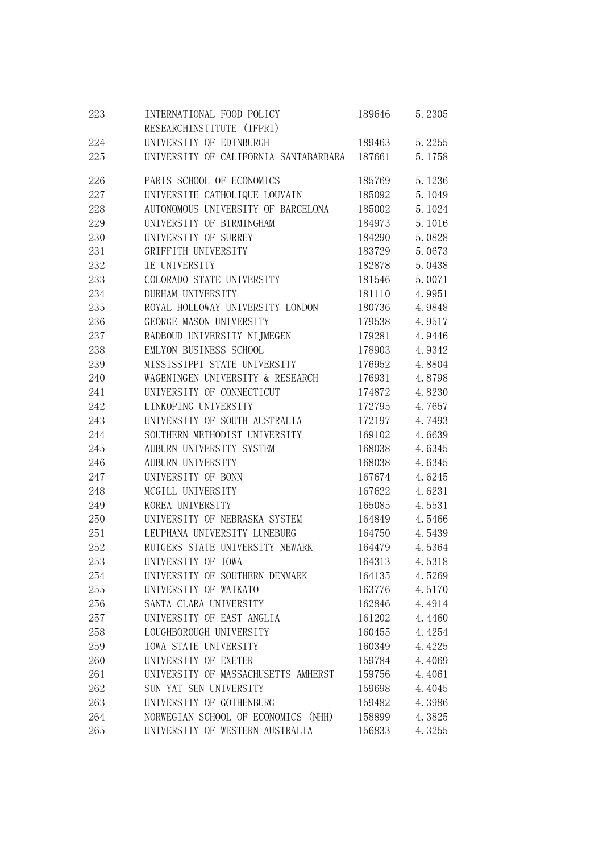| 223 | INTERNATIONAL FOOD POLICY             | 189646 | 5.2305 |
|-----|---------------------------------------|--------|--------|
|     | RESEARCHINSTITUTE (IFPRI)             |        |        |
| 224 | UNIVERSITY OF EDINBURGH               | 189463 | 5.2255 |
| 225 | UNIVERSITY OF CALIFORNIA SANTABARBARA | 187661 | 5.1758 |
| 226 | PARIS SCHOOL OF ECONOMICS             | 185769 | 5.1236 |
| 227 | UNIVERSITE CATHOLIQUE LOUVAIN         | 185092 | 5.1049 |
| 228 | AUTONOMOUS UNIVERSITY OF BARCELONA    | 185002 | 5.1024 |
| 229 | UNIVERSITY OF BIRMINGHAM              | 184973 | 5.1016 |
| 230 | UNIVERSITY OF SURREY                  | 184290 | 5.0828 |
| 231 | GRIFFITH UNIVERSITY                   | 183729 | 5.0673 |
| 232 | IE UNIVERSITY                         | 182878 | 5.0438 |
| 233 | COLORADO STATE UNIVERSITY             | 181546 | 5.0071 |
| 234 | DURHAM UNIVERSITY                     | 181110 | 4.9951 |
| 235 | ROYAL HOLLOWAY UNIVERSITY LONDON      | 180736 | 4.9848 |
| 236 | GEORGE MASON UNIVERSITY               | 179538 | 4.9517 |
| 237 | RADBOUD UNIVERSITY NIJMEGEN           | 179281 | 4.9446 |
| 238 | EMLYON BUSINESS SCHOOL                | 178903 | 4.9342 |
| 239 | MISSISSIPPI STATE UNIVERSITY          | 176952 | 4.8804 |
| 240 | WAGENINGEN UNIVERSITY & RESEARCH      | 176931 | 4.8798 |
| 241 | UNIVERSITY OF CONNECTICUT             | 174872 | 4.8230 |
| 242 | LINKOPING UNIVERSITY                  | 172795 | 4.7657 |
| 243 | UNIVERSITY OF SOUTH AUSTRALIA         | 172197 | 4.7493 |
| 244 | SOUTHERN METHODIST UNIVERSITY         | 169102 | 4.6639 |
| 245 | AUBURN UNIVERSITY SYSTEM              | 168038 | 4.6345 |
| 246 | AUBURN UNIVERSITY                     | 168038 | 4.6345 |
| 247 | UNIVERSITY OF BONN                    | 167674 | 4.6245 |
| 248 | MCGILL UNIVERSITY                     | 167622 | 4.6231 |
| 249 | KOREA UNIVERSITY                      | 165085 | 4.5531 |
| 250 | UNIVERSITY OF NEBRASKA SYSTEM         | 164849 | 4.5466 |
| 251 | LEUPHANA UNIVERSITY LUNEBURG          | 164750 | 4.5439 |
| 252 | RUTGERS STATE UNIVERSITY NEWARK       | 164479 | 4.5364 |
| 253 | UNIVERSITY OF IOWA                    | 164313 | 4.5318 |
| 254 | UNIVERSITY OF SOUTHERN DENMARK        | 164135 | 4.5269 |
| 255 | UNIVERSITY OF WAIKATO                 | 163776 | 4.5170 |
| 256 | SANTA CLARA UNIVERSITY                | 162846 | 4.4914 |
| 257 | UNIVERSITY OF EAST ANGLIA             | 161202 | 4.4460 |
| 258 | LOUGHBOROUGH UNIVERSITY               | 160455 | 4.4254 |
| 259 | <b>IOWA STATE UNIVERSITY</b>          | 160349 | 4.4225 |
| 260 | UNIVERSITY OF EXETER                  | 159784 | 4.4069 |
| 261 | UNIVERSITY OF MASSACHUSETTS AMHERST   | 159756 | 4.4061 |
| 262 | SUN YAT SEN UNIVERSITY                | 159698 | 4.4045 |
| 263 | UNIVERSITY OF GOTHENBURG              | 159482 | 4.3986 |
| 264 | NORWEGIAN SCHOOL OF ECONOMICS (NHH)   | 158899 | 4.3825 |
| 265 | UNIVERSITY OF WESTERN AUSTRALIA       | 156833 | 4.3255 |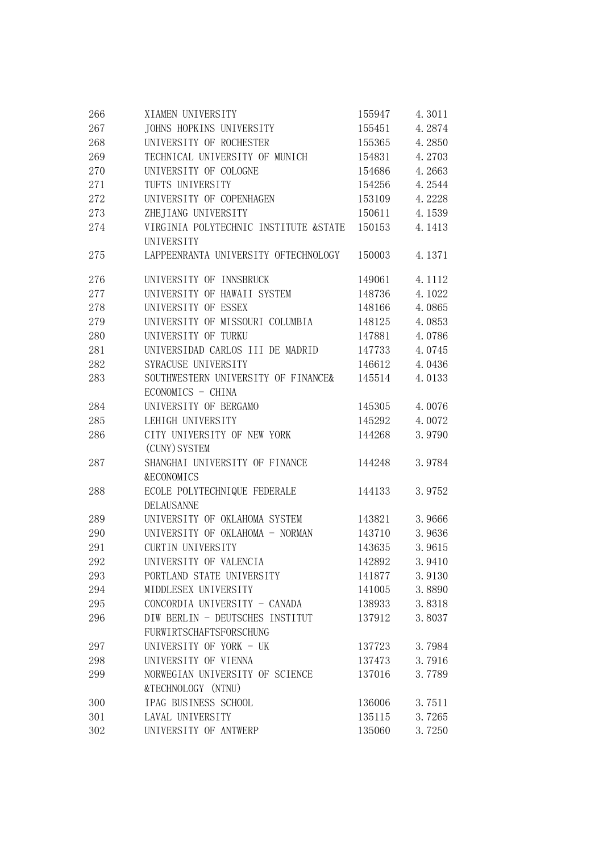| 266 | XIAMEN UNIVERSITY                      | 155947 | 4.3011 |
|-----|----------------------------------------|--------|--------|
| 267 | JOHNS HOPKINS UNIVERSITY               | 155451 | 4.2874 |
| 268 | UNIVERSITY OF ROCHESTER                | 155365 | 4.2850 |
| 269 | TECHNICAL UNIVERSITY OF MUNICH         | 154831 | 4.2703 |
| 270 | UNIVERSITY OF COLOGNE                  | 154686 | 4.2663 |
| 271 | TUFTS UNIVERSITY                       | 154256 | 4.2544 |
| 272 | UNIVERSITY OF COPENHAGEN               | 153109 | 4.2228 |
| 273 | ZHEJIANG UNIVERSITY                    | 150611 | 4.1539 |
| 274 | VIRGINIA POLYTECHNIC INSTITUTE & STATE | 150153 | 4.1413 |
|     | <b>UNIVERSITY</b>                      |        |        |
| 275 | LAPPEENRANTA UNIVERSITY OFTECHNOLOGY   | 150003 | 4.1371 |
| 276 | UNIVERSITY OF INNSBRUCK                | 149061 | 4.1112 |
| 277 | UNIVERSITY OF HAWAII SYSTEM            | 148736 | 4.1022 |
| 278 | UNIVERSITY OF ESSEX                    | 148166 | 4.0865 |
| 279 | UNIVERSITY OF MISSOURI COLUMBIA        | 148125 | 4.0853 |
| 280 | UNIVERSITY OF TURKU                    | 147881 | 4.0786 |
| 281 | UNIVERSIDAD CARLOS III DE MADRID       | 147733 | 4.0745 |
| 282 | SYRACUSE UNIVERSITY                    | 146612 | 4.0436 |
| 283 | SOUTHWESTERN UNIVERSITY OF FINANCE&    | 145514 | 4.0133 |
|     | ECONOMICS - CHINA                      |        |        |
| 284 | UNIVERSITY OF BERGAMO                  | 145305 | 4.0076 |
| 285 | LEHIGH UNIVERSITY                      | 145292 | 4.0072 |
| 286 | CITY UNIVERSITY OF NEW YORK            | 144268 | 3.9790 |
|     | (CUNY) SYSTEM                          |        |        |
| 287 | SHANGHAI UNIVERSITY OF FINANCE         | 144248 | 3.9784 |
|     | <b>&amp;ECONOMICS</b>                  |        |        |
| 288 | ECOLE POLYTECHNIQUE FEDERALE           | 144133 | 3.9752 |
|     | <b>DELAUSANNE</b>                      |        |        |
| 289 | UNIVERSITY OF OKLAHOMA SYSTEM          | 143821 | 3.9666 |
| 290 | UNIVERSITY OF OKLAHOMA - NORMAN        | 143710 | 3.9636 |
| 291 | <b>CURTIN UNIVERSITY</b>               | 143635 | 3.9615 |
| 292 | UNIVERSITY OF VALENCIA                 | 142892 | 3.9410 |
| 293 | PORTLAND STATE UNIVERSITY              | 141877 | 3.9130 |
| 294 | MIDDLESEX UNIVERSITY                   | 141005 | 3.8890 |
| 295 | CONCORDIA UNIVERSITY - CANADA          | 138933 | 3.8318 |
| 296 | DIW BERLIN - DEUTSCHES INSTITUT        | 137912 | 3.8037 |
|     | FURWIRTSCHAFTSFORSCHUNG                |        |        |
| 297 | UNIVERSITY OF YORK - UK                | 137723 | 3.7984 |
| 298 | UNIVERSITY OF VIENNA                   | 137473 | 3.7916 |
| 299 | NORWEGIAN UNIVERSITY OF SCIENCE        | 137016 | 3.7789 |
|     | &TECHNOLOGY (NTNU)                     |        |        |
| 300 | IPAG BUSINESS SCHOOL                   | 136006 | 3.7511 |
| 301 | LAVAL UNIVERSITY                       | 135115 | 3.7265 |
| 302 | UNIVERSITY OF ANTWERP                  | 135060 | 3.7250 |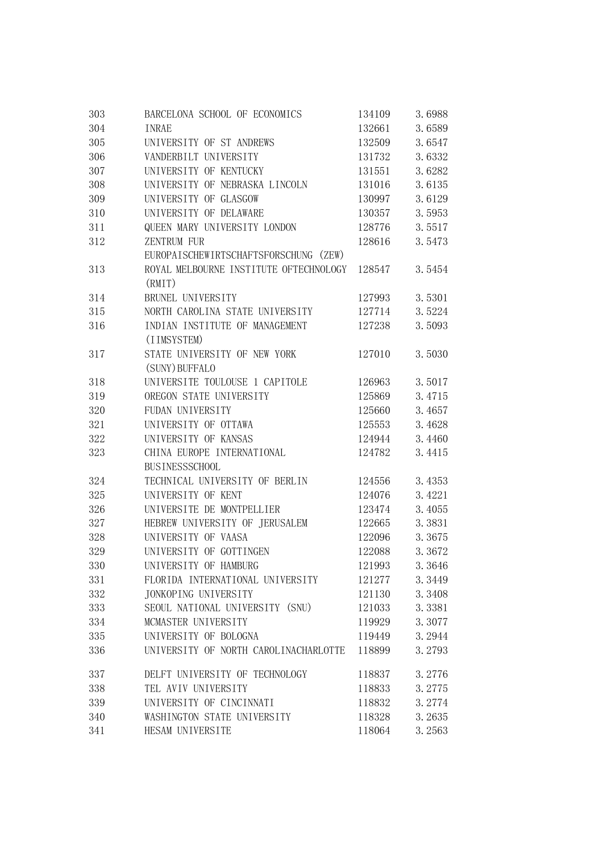| 303 | BARCELONA SCHOOL OF ECONOMICS                    | 134109 | 3.6988 |
|-----|--------------------------------------------------|--------|--------|
| 304 | <b>INRAE</b>                                     | 132661 | 3.6589 |
| 305 | UNIVERSITY OF ST ANDREWS                         | 132509 | 3.6547 |
| 306 | VANDERBILT UNIVERSITY                            | 131732 | 3.6332 |
| 307 | UNIVERSITY OF KENTUCKY                           | 131551 | 3.6282 |
| 308 | UNIVERSITY OF NEBRASKA LINCOLN                   | 131016 | 3.6135 |
| 309 | UNIVERSITY OF GLASGOW                            | 130997 | 3.6129 |
| 310 | UNIVERSITY OF DELAWARE                           | 130357 | 3.5953 |
| 311 | QUEEN MARY UNIVERSITY LONDON                     | 128776 | 3.5517 |
| 312 | ZENTRUM FUR                                      | 128616 | 3.5473 |
|     | EUROPAISCHEWIRTSCHAFTSFORSCHUNG (ZEW)            |        |        |
| 313 | ROYAL MELBOURNE INSTITUTE OFTECHNOLOGY<br>(RMIT) | 128547 | 3.5454 |
| 314 | BRUNEL UNIVERSITY                                | 127993 | 3.5301 |
| 315 | NORTH CAROLINA STATE UNIVERSITY                  | 127714 | 3.5224 |
| 316 | INDIAN INSTITUTE OF MANAGEMENT<br>(IIMSYSTEM)    | 127238 | 3.5093 |
| 317 | STATE UNIVERSITY OF NEW YORK<br>(SUNY) BUFFALO   | 127010 | 3.5030 |
| 318 | UNIVERSITE TOULOUSE 1 CAPITOLE                   | 126963 | 3.5017 |
| 319 | OREGON STATE UNIVERSITY                          | 125869 | 3.4715 |
| 320 | FUDAN UNIVERSITY                                 | 125660 | 3.4657 |
| 321 | UNIVERSITY OF OTTAWA                             | 125553 | 3.4628 |
| 322 | UNIVERSITY OF KANSAS                             | 124944 | 3.4460 |
| 323 | CHINA EUROPE INTERNATIONAL                       | 124782 | 3.4415 |
|     | <b>BUSINESSSCHOOL</b>                            |        |        |
| 324 | TECHNICAL UNIVERSITY OF BERLIN                   | 124556 | 3.4353 |
| 325 | UNIVERSITY OF KENT                               | 124076 | 3.4221 |
| 326 | UNIVERSITE DE MONTPELLIER                        | 123474 | 3.4055 |
| 327 | HEBREW UNIVERSITY OF JERUSALEM                   | 122665 | 3.3831 |
| 328 | UNIVERSITY OF VAASA                              | 122096 | 3.3675 |
| 329 | UNIVERSITY OF GOTTINGEN                          | 122088 | 3.3672 |
| 330 | UNIVERSITY OF HAMBURG                            | 121993 | 3.3646 |
| 331 | FLORIDA INTERNATIONAL UNIVERSITY                 | 121277 | 3.3449 |
| 332 | JONKOPING UNIVERSITY                             | 121130 | 3.3408 |
| 333 | SEOUL NATIONAL UNIVERSITY (SNU)                  | 121033 | 3.3381 |
| 334 | MCMASTER UNIVERSITY                              | 119929 | 3.3077 |
| 335 | UNIVERSITY OF BOLOGNA                            | 119449 | 3.2944 |
| 336 | UNIVERSITY OF NORTH CAROLINACHARLOTTE            | 118899 | 3.2793 |
| 337 | DELFT UNIVERSITY OF TECHNOLOGY                   | 118837 | 3.2776 |
| 338 | TEL AVIV UNIVERSITY                              | 118833 | 3.2775 |
| 339 | UNIVERSITY OF CINCINNATI                         | 118832 | 3.2774 |
| 340 | WASHINGTON STATE UNIVERSITY                      | 118328 | 3.2635 |
| 341 | HESAM UNIVERSITE                                 | 118064 | 3.2563 |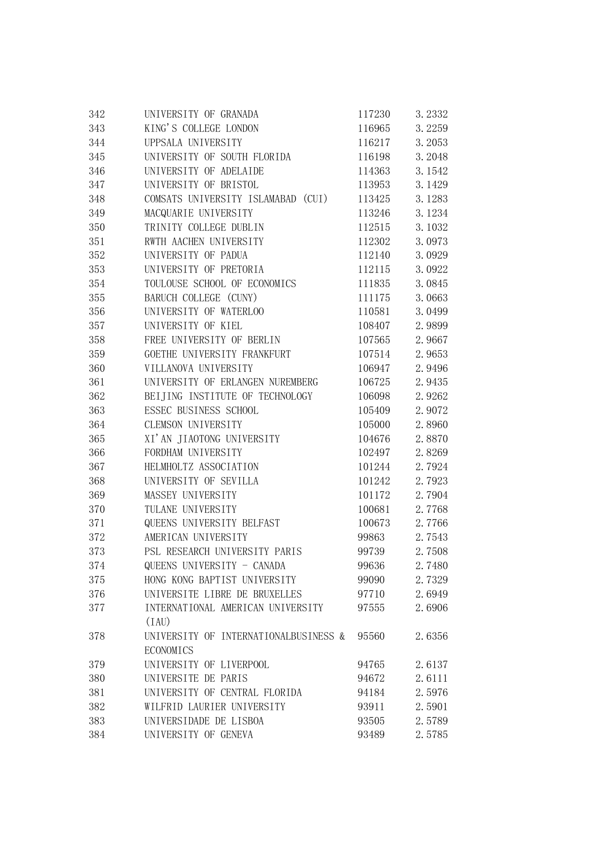| 342 | UNIVERSITY OF GRANADA                 | 117230 | 3.2332 |
|-----|---------------------------------------|--------|--------|
| 343 | KING'S COLLEGE LONDON                 | 116965 | 3.2259 |
| 344 | UPPSALA UNIVERSITY                    | 116217 | 3.2053 |
| 345 | UNIVERSITY OF SOUTH FLORIDA           | 116198 | 3.2048 |
| 346 | UNIVERSITY OF ADELAIDE                | 114363 | 3.1542 |
| 347 | UNIVERSITY OF BRISTOL                 | 113953 | 3.1429 |
| 348 | COMSATS UNIVERSITY ISLAMABAD (CUI)    | 113425 | 3.1283 |
| 349 | MACQUARIE UNIVERSITY                  | 113246 | 3.1234 |
| 350 | TRINITY COLLEGE DUBLIN                | 112515 | 3.1032 |
| 351 | RWTH AACHEN UNIVERSITY                | 112302 | 3.0973 |
| 352 | UNIVERSITY OF PADUA                   | 112140 | 3.0929 |
| 353 | UNIVERSITY OF PRETORIA                | 112115 | 3.0922 |
| 354 | TOULOUSE SCHOOL OF ECONOMICS          | 111835 | 3.0845 |
| 355 | BARUCH COLLEGE (CUNY)                 | 111175 | 3.0663 |
| 356 | UNIVERSITY OF WATERLOO                | 110581 | 3.0499 |
| 357 | UNIVERSITY OF KIEL                    | 108407 | 2.9899 |
| 358 | FREE UNIVERSITY OF BERLIN             | 107565 | 2.9667 |
| 359 | GOETHE UNIVERSITY FRANKFURT           | 107514 | 2.9653 |
| 360 | VILLANOVA UNIVERSITY                  | 106947 | 2.9496 |
| 361 | UNIVERSITY OF ERLANGEN NUREMBERG      | 106725 | 2.9435 |
| 362 | BEIJING INSTITUTE OF TECHNOLOGY       | 106098 | 2.9262 |
| 363 | ESSEC BUSINESS SCHOOL                 | 105409 | 2.9072 |
| 364 | CLEMSON UNIVERSITY                    | 105000 | 2.8960 |
| 365 | XI'AN JIAOTONG UNIVERSITY             | 104676 | 2.8870 |
| 366 | FORDHAM UNIVERSITY                    | 102497 | 2.8269 |
| 367 | HELMHOLTZ ASSOCIATION                 | 101244 | 2.7924 |
| 368 | UNIVERSITY OF SEVILLA                 | 101242 | 2.7923 |
| 369 | MASSEY UNIVERSITY                     | 101172 | 2.7904 |
| 370 | TULANE UNIVERSITY                     | 100681 | 2.7768 |
| 371 | QUEENS UNIVERSITY BELFAST             | 100673 | 2.7766 |
| 372 | AMERICAN UNIVERSITY                   | 99863  | 2.7543 |
| 373 | PSL RESEARCH UNIVERSITY PARIS         | 99739  | 2.7508 |
| 374 | QUEENS UNIVERSITY - CANADA            | 99636  | 2.7480 |
| 375 | HONG KONG BAPTIST UNIVERSITY          | 99090  | 2.7329 |
| 376 | UNIVERSITE LIBRE DE BRUXELLES         | 97710  | 2.6949 |
| 377 | INTERNATIONAL AMERICAN UNIVERSITY     | 97555  | 2.6906 |
|     | (IAU)                                 |        |        |
| 378 | UNIVERSITY OF INTERNATIONALBUSINESS & | 95560  | 2.6356 |
|     | ECONOMICS                             |        |        |
| 379 | UNIVERSITY OF LIVERPOOL               | 94765  | 2.6137 |
| 380 | UNIVERSITE DE PARIS                   | 94672  | 2.6111 |
| 381 | UNIVERSITY OF CENTRAL FLORIDA         | 94184  | 2.5976 |
| 382 | WILFRID LAURIER UNIVERSITY            | 93911  | 2.5901 |
| 383 | UNIVERSIDADE DE LISBOA                | 93505  | 2.5789 |
| 384 | UNIVERSITY OF GENEVA                  | 93489  | 2.5785 |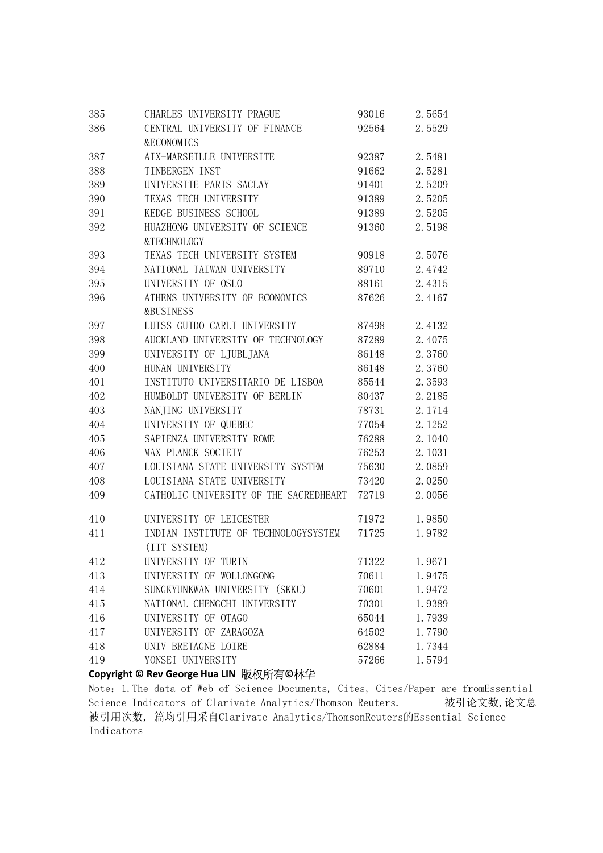| 385 | CHARLES UNIVERSITY PRAGUE              | 93016 | 2.5654 |
|-----|----------------------------------------|-------|--------|
| 386 | CENTRAL UNIVERSITY OF FINANCE          | 92564 | 2.5529 |
|     | <b>&amp;ECONOMICS</b>                  |       |        |
| 387 | AIX-MARSEILLE UNIVERSITE               | 92387 | 2.5481 |
| 388 | TINBERGEN INST                         | 91662 | 2.5281 |
| 389 | UNIVERSITE PARIS SACLAY                | 91401 | 2.5209 |
| 390 | TEXAS TECH UNIVERSITY                  | 91389 | 2.5205 |
| 391 | KEDGE BUSINESS SCHOOL                  | 91389 | 2.5205 |
| 392 | HUAZHONG UNIVERSITY OF SCIENCE         | 91360 | 2.5198 |
|     | &TECHNOLOGY                            |       |        |
| 393 | TEXAS TECH UNIVERSITY SYSTEM           | 90918 | 2.5076 |
| 394 | NATIONAL TAIWAN UNIVERSITY             | 89710 | 2.4742 |
| 395 | UNIVERSITY OF OSLO                     | 88161 | 2.4315 |
| 396 | ATHENS UNIVERSITY OF ECONOMICS         | 87626 | 2.4167 |
|     | <b>&amp;BUSINESS</b>                   |       |        |
| 397 | LUISS GUIDO CARLI UNIVERSITY           | 87498 | 2.4132 |
| 398 | AUCKLAND UNIVERSITY OF TECHNOLOGY      | 87289 | 2.4075 |
| 399 | UNIVERSITY OF LJUBLJANA                | 86148 | 2.3760 |
| 400 | HUNAN UNIVERSITY                       | 86148 | 2.3760 |
| 401 | INSTITUTO UNIVERSITARIO DE LISBOA      | 85544 | 2.3593 |
| 402 | HUMBOLDT UNIVERSITY OF BERLIN          | 80437 | 2.2185 |
| 403 | NANJING UNIVERSITY                     | 78731 | 2.1714 |
| 404 | UNIVERSITY OF QUEBEC                   | 77054 | 2.1252 |
| 405 | SAPIENZA UNIVERSITY ROME               | 76288 | 2.1040 |
| 406 | MAX PLANCK SOCIETY                     | 76253 | 2.1031 |
| 407 | LOUISIANA STATE UNIVERSITY SYSTEM      | 75630 | 2.0859 |
| 408 | LOUISIANA STATE UNIVERSITY             | 73420 | 2.0250 |
| 409 | CATHOLIC UNIVERSITY OF THE SACREDHEART | 72719 | 2.0056 |
| 410 | UNIVERSITY OF LEICESTER                | 71972 | 1.9850 |
| 411 | INDIAN INSTITUTE OF TECHNOLOGYSYSTEM   | 71725 | 1.9782 |
|     | (IIT SYSTEM)                           |       |        |
| 412 | UNIVERSITY OF TURIN                    | 71322 | 1.9671 |
| 413 | UNIVERSITY OF WOLLONGONG               | 70611 | 1.9475 |
| 414 | SUNGKYUNKWAN UNIVERSITY (SKKU)         | 70601 | 1.9472 |
| 415 | NATIONAL CHENGCHI UNIVERSITY           | 70301 | 1.9389 |
| 416 | UNIVERSITY OF OTAGO                    | 65044 | 1.7939 |
| 417 | UNIVERSITY OF ZARAGOZA                 | 64502 | 1.7790 |
| 418 | UNIV BRETAGNE LOIRE                    | 62884 | 1.7344 |
| 419 | YONSEI UNIVERSITY                      | 57266 | 1.5794 |

Copyright © Rev George Hua LIN 版权所有©林华

Note:1.The data of Web of Science Documents, Cites, Cites/Paper are fromEssential Science Indicators of Clarivate Analytics/Thomson Reuters. 被引论文数,论文总 被引用次数, 篇均引用采自Clarivate Analytics/ThomsonReuters的Essential Science Indicators